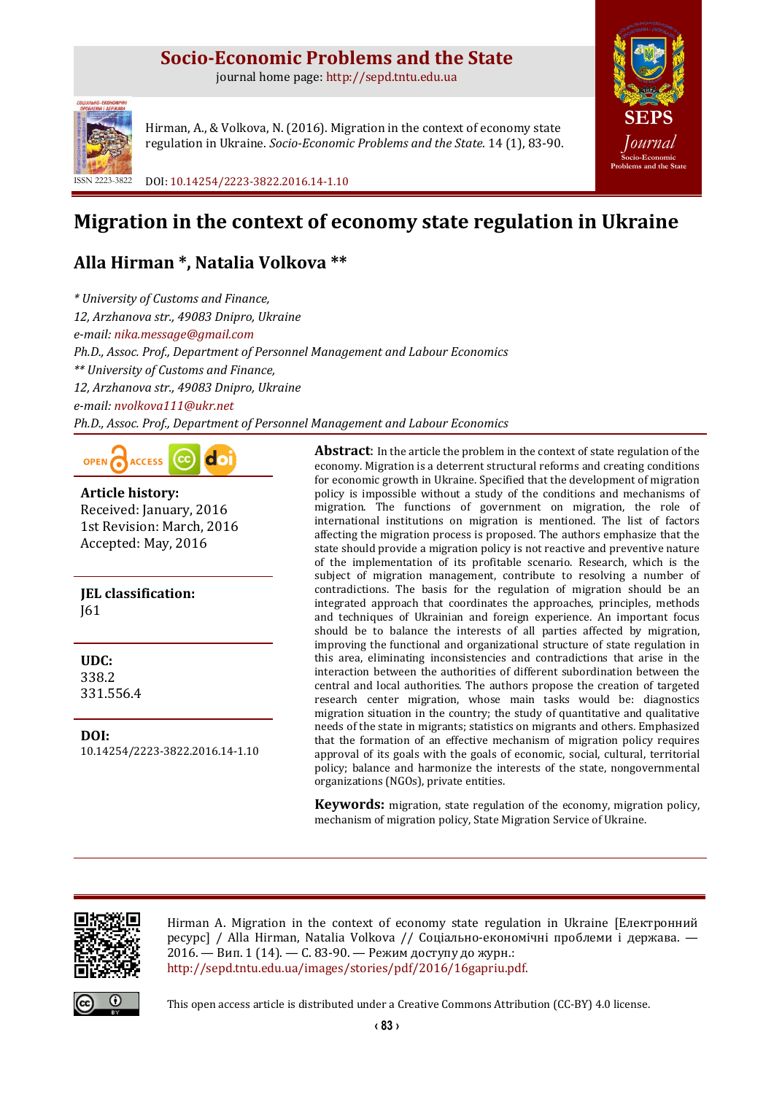# **Socio-Economic Problems and the State**

journal home page: [http://sepd.tntu.edu.ua](http://sepd.tntu.edu.ua/)



Hirman, A., & Volkova, N. (2016). Migration in the context of economy state regulation in Ukraine. *Socio-Economic Problems and the State*. 14 (1), 83-90.

ISSN 2223-3822 DOI[: 10.14254/2223-3822.2016.14-1.10](http://dx.doi.org/10.14254/2223-3822.2016.14-1.10)

# **Migration in the context of economy state regulation in Ukraine**

# **Alla Hirman \*, Natalia Volkova \*\***

*\* University of Customs and Finance, 12, Arzhanova str., 49083 Dnipro, Ukraine e-mail: [nika.message@gmail.com](mailto:nika.message@gmail.com) Ph.D., Assoc. Prof., Department of Personnel Management and Labour Economics \*\* University of Customs and Finance, 12, Arzhanova str., 49083 Dnipro, Ukraine e-mail: [nvolkova111@ukr.net](mailto:nvolkova111@ukr.net) Ph.D., Assoc. Prof., Department of Personnel Management and Labour Economics*



**Article history:** Received: January, 2016 1st Revision: March, 2016 Accepted: May, 2016

**JEL classification:** J61

**UDC:** 338.2 331.556.4

**DOI:** [10.14254/2223-3822.2016.14-1.10](http://dx.doi.org/10.14254/2223-3822.2016.14-1.10) **Abstract**: In the article the problem in the context of state regulation of the economy. Migration is a deterrent structural reforms and creating conditions for economic growth in Ukraine. Specified that the development of migration policy is impossible without a study of the conditions and mechanisms of migration. The functions of government on migration, the role of international institutions on migration is mentioned. The list of factors affecting the migration process is proposed. The authors emphasize that the state should provide a migration policy is not reactive and preventive nature of the implementation of its profitable scenario. Research, which is the subject of migration management, contribute to resolving a number of contradictions. The basis for the regulation of migration should be an integrated approach that coordinates the approaches, principles, methods and techniques of Ukrainian and foreign experience. An important focus should be to balance the interests of all parties affected by migration, improving the functional and organizational structure of state regulation in this area, eliminating inconsistencies and contradictions that arise in the interaction between the authorities of different subordination between the central and local authorities. The authors propose the creation of targeted research center migration, whose main tasks would be: diagnostics migration situation in the country; the study of quantitative and qualitative needs of the state in migrants; statistics on migrants and others. Emphasized that the formation of an effective mechanism of migration policy requires approval of its goals with the goals of economic, social, cultural, territorial policy; balance and harmonize the interests of the state, nongovernmental organizations (NGOs), private entities.

**[SEPS](http://sepd.tntu.edu.ua/)** *[Journal](http://sepd.tntu.edu.ua/)* **[Socio-Economic](http://sepd.tntu.edu.ua/)  [Problems and the State](http://sepd.tntu.edu.ua/)**

**Keywords:** migration, state regulation of the economy, migration policy, mechanism of migration policy, State Migration Service of Ukraine.



Hirman A. Migration in the context of economy state regulation in Ukraine [Електронний ресурс] / Alla Hirman, Natalia Volkova // Соціально-економічні проблеми і держава. — 2016. — Вип. 1 (14). — С. 83-90. — Режим доступу до журн.: [http://sepd.tntu.edu.ua/images/stories/pdf/2016/16gapriu.pdf.](http://sepd.tntu.edu.ua/images/stories/pdf/2016/16gapriu.pdf)



This open access article is distributed under a [Creative Commons Attribution \(CC-BY\) 4.0 license.](http://creativecommons.org/licenses/by/4.0/)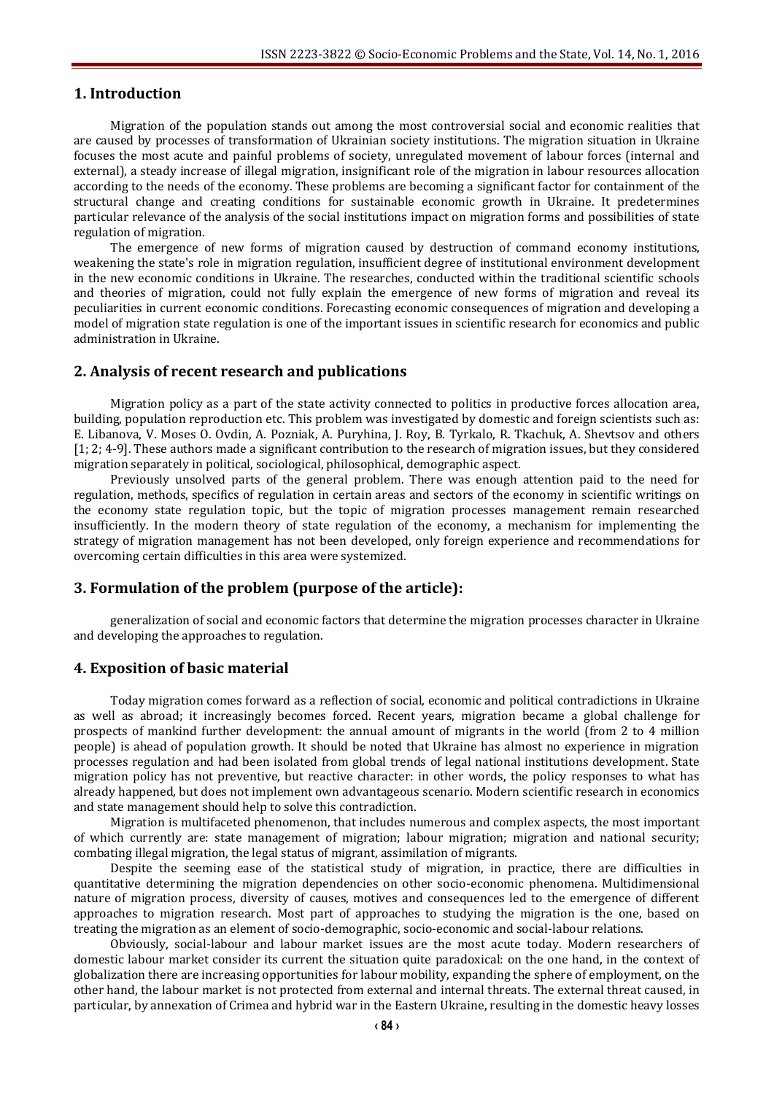# **1. Introduction**

Migration of the population stands out among the most controversial social and economic realities that are caused by processes of transformation of Ukrainian society institutions. The migration situation in Ukraine focuses the most acute and painful problems of society, unregulated movement of labour forces (internal and external), a steady increase of illegal migration, insignificant role of the migration in labour resources allocation according to the needs of the economy. These problems are becoming a significant factor for containment of the structural change and creating conditions for sustainable economic growth in Ukraine. It predetermines particular relevance of the analysis of the social institutions impact on migration forms and possibilities of state regulation of migration.

The emergence of new forms of migration caused by destruction of command economy institutions, weakening the state's role in migration regulation, insufficient degree of institutional environment development in the new economic conditions in Ukraine. The researches, conducted within the traditional scientific schools and theories of migration, could not fully explain the emergence of new forms of migration and reveal its peculiarities in current economic conditions. Forecasting economic consequences of migration and developing a model of migration state regulation is one of the important issues in scientific research for economics and public administration in Ukraine.

## **2. Analysis of recent research and publications**

Migration policy as a part of the state activity connected to politics in productive forces allocation area, building, population reproduction etc. This problem was investigated by domestic and foreign scientists such as: E. Libanova, V. Moses O. Ovdin, A. Pozniak, A. Puryhina, J. Roy, B. Tyrkalo, R. Tkachuk, A. Shevtsov and others [1; 2; 4-9]. These authors made a significant contribution to the research of migration issues, but they considered migration separately in political, sociological, philosophical, demographic aspect.

Previously unsolved parts of the general problem. There was enough attention paid to the need for regulation, methods, specifics of regulation in certain areas and sectors of the economy in scientific writings on the economy state regulation topic, but the topic of migration processes management remain researched insufficiently. In the modern theory of state regulation of the economy, a mechanism for implementing the strategy of migration management has not been developed, only foreign experience and recommendations for overcoming certain difficulties in this area were systemized.

# **3. Formulation of the problem (purpose of the article):**

generalization of social and economic factors that determine the migration processes character in Ukraine and developing the approaches to regulation.

## **4. Exposition of basic material**

Today migration comes forward as a reflection of social, economic and political contradictions in Ukraine as well as abroad; it increasingly becomes forced. Recent years, migration became a global challenge for prospects of mankind further development: the annual amount of migrants in the world (from 2 to 4 million people) is ahead of population growth. It should be noted that Ukraine has almost no experience in migration processes regulation and had been isolated from global trends of legal national institutions development. State migration policy has not preventive, but reactive character: in other words, the policy responses to what has already happened, but does not implement own advantageous scenario. Modern scientific research in economics and state management should help to solve this contradiction.

Migration is multifaceted phenomenon, that includes numerous and complex aspects, the most important of which currently are: state management of migration; labour migration; migration and national security; combating illegal migration, the legal status of migrant, assimilation of migrants.

Despite the seeming ease of the statistical study of migration, in practice, there are difficulties in quantitative determining the migration dependencies on other socio-economic phenomena. Multidimensional nature of migration process, diversity of causes, motives and consequences led to the emergence of different approaches to migration research. Most part of approaches to studying the migration is the one, based on treating the migration as an element of socio-demographic, socio-economic and social-labour relations.

Obviously, social-labour and labour market issues are the most acute today. Modern researchers of domestic labour market consider its current the situation quite paradoxical: on the one hand, in the context of globalization there are increasing opportunities for labour mobility, expanding the sphere of employment, on the other hand, the labour market is not protected from external and internal threats. The external threat caused, in particular, by annexation of Crimea and hybrid war in the Eastern Ukraine, resulting in the domestic heavy losses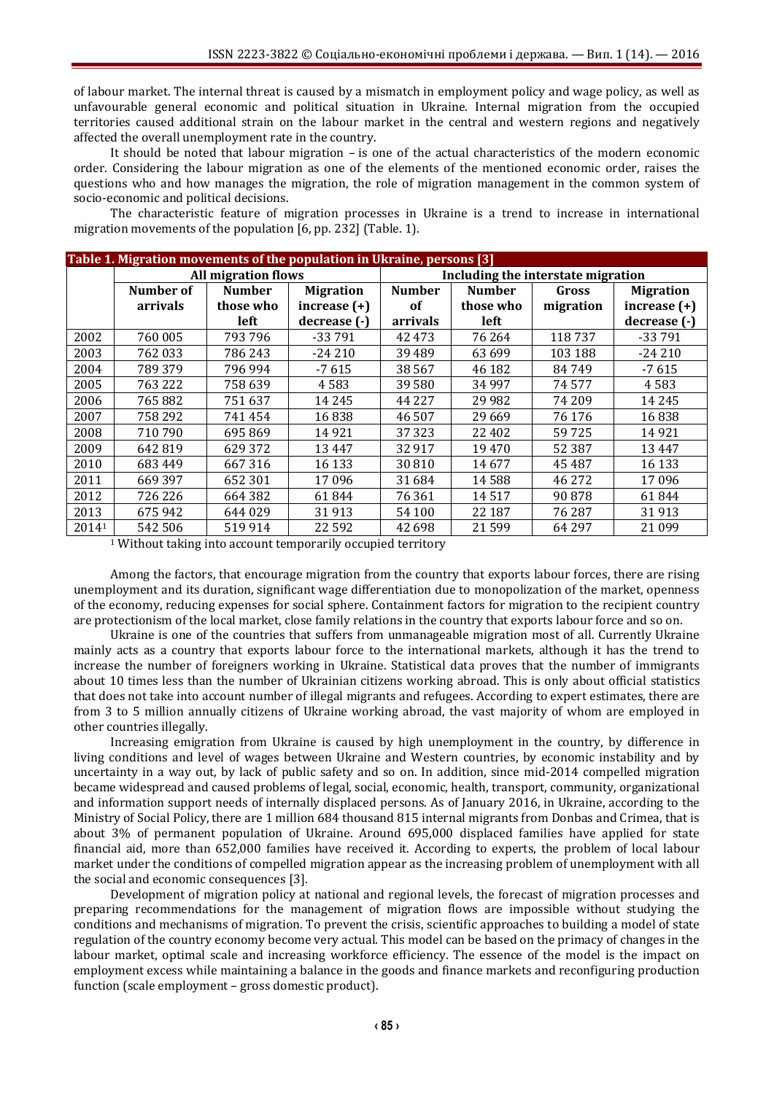of labour market. The internal threat is caused by a mismatch in employment policy and wage policy, as well as unfavourable general economic and political situation in Ukraine. Internal migration from the occupied territories caused additional strain on the labour market in the central and western regions and negatively affected the overall unemployment rate in the country.

It should be noted that labour migration – is one of the actual characteristics of the modern economic order. Considering the labour migration as one of the elements of the mentioned economic order, raises the questions who and how manages the migration, the role of migration management in the common system of socio-economic and political decisions.

The characteristic feature of migration processes in Ukraine is a trend to increase in international migration movements of the population [6, pp. 232] (Table. 1).

| Table 1. Migration movements of the population in Ukraine, persons [3] |                            |               |                  |                                    |               |           |                  |  |
|------------------------------------------------------------------------|----------------------------|---------------|------------------|------------------------------------|---------------|-----------|------------------|--|
|                                                                        | <b>All migration flows</b> |               |                  | Including the interstate migration |               |           |                  |  |
|                                                                        | Number of                  | <b>Number</b> | <b>Migration</b> | <b>Number</b>                      | <b>Number</b> | Gross     | <b>Migration</b> |  |
|                                                                        | arrivals                   | those who     | increase $(+)$   | <sub>of</sub>                      | those who     | migration | increase $(+)$   |  |
|                                                                        |                            | left          | decrease (-)     | arrivals                           | left          |           | decrease (-)     |  |
| 2002                                                                   | 760 005                    | 793796        | $-33791$         | 42473                              | 76 264        | 118737    | $-33791$         |  |
| 2003                                                                   | 762 033                    | 786 243       | $-24210$         | 39489                              | 63 699        | 103 188   | $-24210$         |  |
| 2004                                                                   | 789 379                    | 796 994       | $-7615$          | 38 5 6 7                           | 46 182        | 84749     | $-7615$          |  |
| 2005                                                                   | 763 222                    | 758 639       | 4583             | 39580                              | 34 997        | 74 577    | 4583             |  |
| 2006                                                                   | 765882                     | 751 637       | 14 2 4 5         | 44 2 2 7                           | 29 9 82       | 74 209    | 14 2 4 5         |  |
| 2007                                                                   | 758 292                    | 741454        | 16838            | 46507                              | 29 6 69       | 76 176    | 16838            |  |
| 2008                                                                   | 710 790                    | 695869        | 14 9 21          | 37 323                             | 22 402        | 59725     | 14 9 21          |  |
| 2009                                                                   | 642 819                    | 629 372       | 13 4 4 7         | 32917                              | 19470         | 52 387    | 13447            |  |
| 2010                                                                   | 683 449                    | 667316        | 16 133           | 30810                              | 14 677        | 45 487    | 16 133           |  |
| 2011                                                                   | 669 397                    | 652 301       | 17096            | 31 684                             | 14 5 8 8      | 46 272    | 17096            |  |
| 2012                                                                   | 726 226                    | 664 382       | 61844            | 76361                              | 14 5 17       | 90 878    | 61844            |  |
| 2013                                                                   | 675 942                    | 644 029       | 31913            | 54 100                             | 22 187        | 76 287    | 31913            |  |
| 20141                                                                  | 542 506                    | 519914        | 22 5 9 2         | 42698                              | 21 5 9 9      | 64 297    | 21 0 9 9         |  |

<sup>1</sup> Without taking into account temporarily occupied territory

Among the factors, that encourage migration from the country that exports labour forces, there are rising unemployment and its duration, significant wage differentiation due to monopolization of the market, openness of the economy, reducing expenses for social sphere. Containment factors for migration to the recipient country are protectionism of the local market, close family relations in the country that exports labour force and so on.

Ukraine is one of the countries that suffers from unmanageable migration most of all. Currently Ukraine mainly acts as a country that exports labour force to the international markets, although it has the trend to increase the number of foreigners working in Ukraine. Statistical data proves that the number of immigrants about 10 times less than the number of Ukrainian citizens working abroad. This is only about official statistics that does not take into account number of illegal migrants and refugees. According to expert estimates, there are from 3 to 5 million annually citizens of Ukraine working abroad, the vast majority of whom are employed in other countries illegally.

Increasing emigration from Ukraine is caused by high unemployment in the country, by difference in living conditions and level of wages between Ukraine and Western countries, by economic instability and by uncertainty in a way out, by lack of public safety and so on. In addition, since mid-2014 compelled migration became widespread and caused problems of legal, social, economic, health, transport, community, organizational and information support needs of internally displaced persons. As of January 2016, in Ukraine, according to the Ministry of Social Policy, there are 1 million 684 thousand 815 internal migrants from Donbas and Crimea, that is about 3% of permanent population of Ukraine. Around 695,000 displaced families have applied for state financial aid, more than 652,000 families have received it. According to experts, the problem of local labour market under the conditions of compelled migration appear as the increasing problem of unemployment with all the social and economic consequences [3].

Development of migration policy at national and regional levels, the forecast of migration processes and preparing recommendations for the management of migration flows are impossible without studying the conditions and mechanisms of migration. To prevent the crisis, scientific approaches to building a model of state regulation of the country economy become very actual. This model can be based on the primacy of changes in the labour market, optimal scale and increasing workforce efficiency. The essence of the model is the impact on employment excess while maintaining a balance in the goods and finance markets and reconfiguring production function (scale employment – gross domestic product).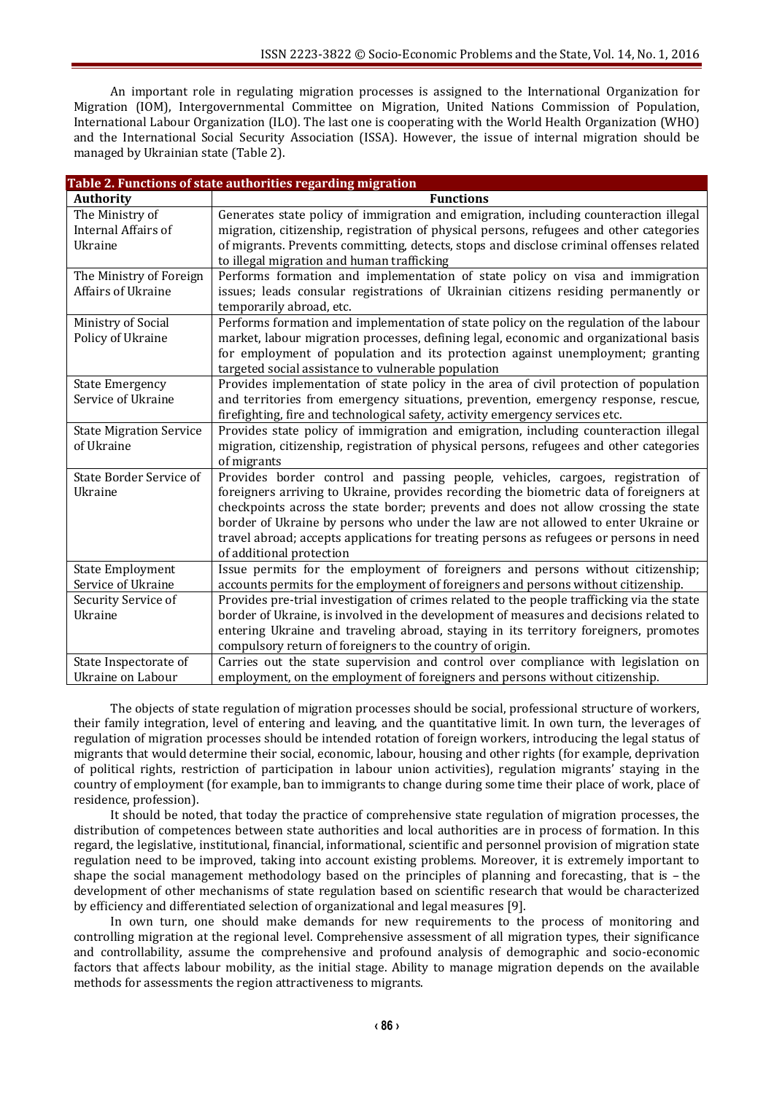An important role in regulating migration processes is assigned to the International Organization for Migration (IOM), Intergovernmental Committee on Migration, United Nations Commission of Population, International Labour Organization (ILO). The last one is cooperating with the World Health Organization (WHO) and the International Social Security Association (ISSA). However, the issue of internal migration should be managed by Ukrainian state (Table 2).

| Table 2. Functions of state authorities regarding migration |                                                                                            |  |  |  |  |  |  |
|-------------------------------------------------------------|--------------------------------------------------------------------------------------------|--|--|--|--|--|--|
| <b>Authority</b>                                            | <b>Functions</b>                                                                           |  |  |  |  |  |  |
| The Ministry of                                             | Generates state policy of immigration and emigration, including counteraction illegal      |  |  |  |  |  |  |
| Internal Affairs of                                         | migration, citizenship, registration of physical persons, refugees and other categories    |  |  |  |  |  |  |
| Ukraine                                                     | of migrants. Prevents committing, detects, stops and disclose criminal offenses related    |  |  |  |  |  |  |
|                                                             | to illegal migration and human trafficking                                                 |  |  |  |  |  |  |
| The Ministry of Foreign                                     | Performs formation and implementation of state policy on visa and immigration              |  |  |  |  |  |  |
| Affairs of Ukraine                                          | issues; leads consular registrations of Ukrainian citizens residing permanently or         |  |  |  |  |  |  |
|                                                             | temporarily abroad, etc.                                                                   |  |  |  |  |  |  |
| Ministry of Social                                          | Performs formation and implementation of state policy on the regulation of the labour      |  |  |  |  |  |  |
| Policy of Ukraine                                           | market, labour migration processes, defining legal, economic and organizational basis      |  |  |  |  |  |  |
|                                                             | for employment of population and its protection against unemployment; granting             |  |  |  |  |  |  |
|                                                             | targeted social assistance to vulnerable population                                        |  |  |  |  |  |  |
| <b>State Emergency</b>                                      | Provides implementation of state policy in the area of civil protection of population      |  |  |  |  |  |  |
| Service of Ukraine                                          | and territories from emergency situations, prevention, emergency response, rescue,         |  |  |  |  |  |  |
|                                                             | firefighting, fire and technological safety, activity emergency services etc.              |  |  |  |  |  |  |
| <b>State Migration Service</b>                              | Provides state policy of immigration and emigration, including counteraction illegal       |  |  |  |  |  |  |
| of Ukraine                                                  | migration, citizenship, registration of physical persons, refugees and other categories    |  |  |  |  |  |  |
|                                                             | of migrants                                                                                |  |  |  |  |  |  |
| <b>State Border Service of</b>                              | Provides border control and passing people, vehicles, cargoes, registration of             |  |  |  |  |  |  |
| Ukraine                                                     | foreigners arriving to Ukraine, provides recording the biometric data of foreigners at     |  |  |  |  |  |  |
|                                                             | checkpoints across the state border; prevents and does not allow crossing the state        |  |  |  |  |  |  |
|                                                             | border of Ukraine by persons who under the law are not allowed to enter Ukraine or         |  |  |  |  |  |  |
|                                                             | travel abroad; accepts applications for treating persons as refugees or persons in need    |  |  |  |  |  |  |
|                                                             | of additional protection                                                                   |  |  |  |  |  |  |
| <b>State Employment</b>                                     | Issue permits for the employment of foreigners and persons without citizenship;            |  |  |  |  |  |  |
| Service of Ukraine                                          | accounts permits for the employment of foreigners and persons without citizenship.         |  |  |  |  |  |  |
| Security Service of                                         | Provides pre-trial investigation of crimes related to the people trafficking via the state |  |  |  |  |  |  |
| Ukraine                                                     | border of Ukraine, is involved in the development of measures and decisions related to     |  |  |  |  |  |  |
|                                                             | entering Ukraine and traveling abroad, staying in its territory foreigners, promotes       |  |  |  |  |  |  |
|                                                             | compulsory return of foreigners to the country of origin.                                  |  |  |  |  |  |  |
| State Inspectorate of                                       | Carries out the state supervision and control over compliance with legislation on          |  |  |  |  |  |  |
| Ukraine on Labour                                           | employment, on the employment of foreigners and persons without citizenship.               |  |  |  |  |  |  |

The objects of state regulation of migration processes should be social, professional structure of workers, their family integration, level of entering and leaving, and the quantitative limit. In own turn, the leverages of regulation of migration processes should be intended rotation of foreign workers, introducing the legal status of migrants that would determine their social, economic, labour, housing and other rights (for example, deprivation of political rights, restriction of participation in labour union activities), regulation migrants' staying in the country of employment (for example, ban to immigrants to change during some time their place of work, place of residence, profession).

It should be noted, that today the practice of comprehensive state regulation of migration processes, the distribution of competences between state authorities and local authorities are in process of formation. In this regard, the legislative, institutional, financial, informational, scientific and personnel provision of migration state regulation need to be improved, taking into account existing problems. Moreover, it is extremely important to shape the social management methodology based on the principles of planning and forecasting, that is – the development of other mechanisms of state regulation based on scientific research that would be characterized by efficiency and differentiated selection of organizational and legal measures [9].

In own turn, one should make demands for new requirements to the process of monitoring and controlling migration at the regional level. Comprehensive assessment of all migration types, their significance and controllability, assume the comprehensive and profound analysis of demographic and socio-economic factors that affects labour mobility, as the initial stage. Ability to manage migration depends on the available methods for assessments the region attractiveness to migrants.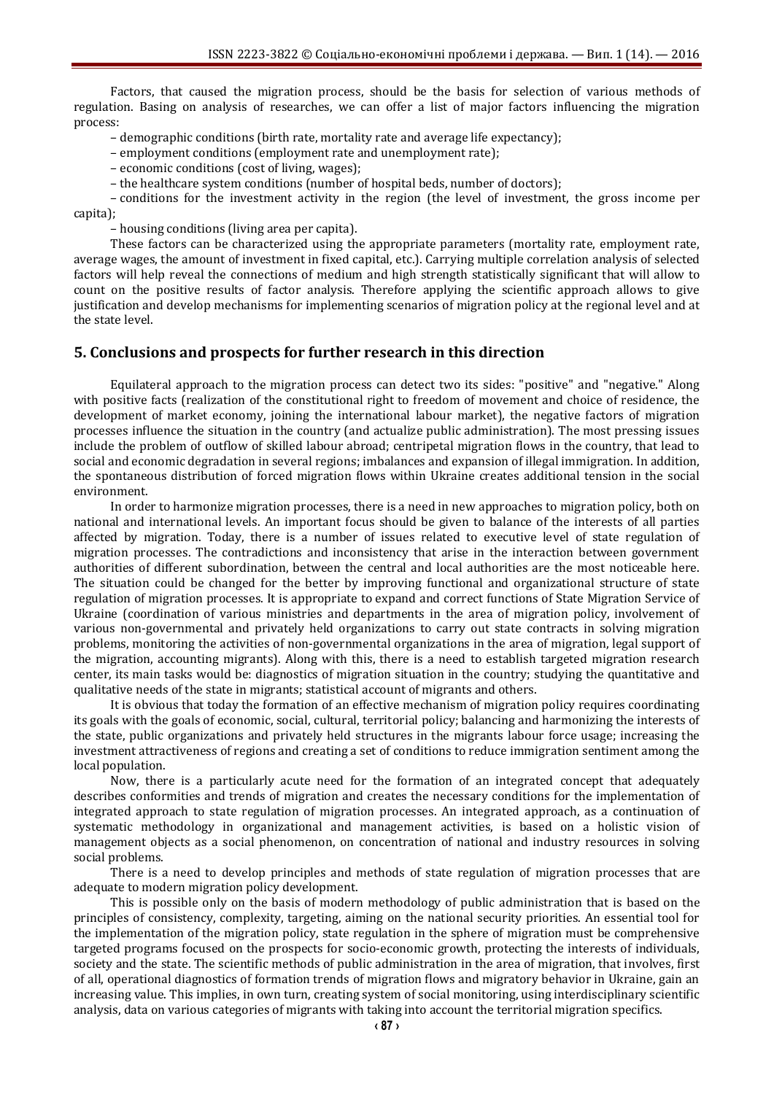Factors, that caused the migration process, should be the basis for selection of various methods of regulation. Basing on analysis of researches, we can offer a list of major factors influencing the migration process:

– demographic conditions (birth rate, mortality rate and average life expectancy);

– employment conditions (employment rate and unemployment rate);

– economic conditions (cost of living, wages);

– the healthcare system conditions (number of hospital beds, number of doctors);

– conditions for the investment activity in the region (the level of investment, the gross income per capita);

– housing conditions (living area per capita).

These factors can be characterized using the appropriate parameters (mortality rate, employment rate, average wages, the amount of investment in fixed capital, etc.). Carrying multiple correlation analysis of selected factors will help reveal the connections of medium and high strength statistically significant that will allow to count on the positive results of factor analysis. Therefore applying the scientific approach allows to give justification and develop mechanisms for implementing scenarios of migration policy at the regional level and at the state level.

# **5. Conclusions and prospects for further research in this direction**

Equilateral approach to the migration process can detect two its sides: "positive" and "negative." Along with positive facts (realization of the constitutional right to freedom of movement and choice of residence, the development of market economy, joining the international labour market), the negative factors of migration processes influence the situation in the country (and actualize public administration). The most pressing issues include the problem of outflow of skilled labour abroad; centripetal migration flows in the country, that lead to social and economic degradation in several regions; imbalances and expansion of illegal immigration. In addition, the spontaneous distribution of forced migration flows within Ukraine creates additional tension in the social environment.

In order to harmonize migration processes, there is a need in new approaches to migration policy, both on national and international levels. An important focus should be given to balance of the interests of all parties affected by migration. Today, there is a number of issues related to executive level of state regulation of migration processes. The contradictions and inconsistency that arise in the interaction between government authorities of different subordination, between the central and local authorities are the most noticeable here. The situation could be changed for the better by improving functional and organizational structure of state regulation of migration processes. It is appropriate to expand and correct functions of State Migration Service of Ukraine (coordination of various ministries and departments in the area of migration policy, involvement of various non-governmental and privately held organizations to carry out state contracts in solving migration problems, monitoring the activities of non-governmental organizations in the area of migration, legal support of the migration, accounting migrants). Along with this, there is a need to establish targeted migration research center, its main tasks would be: diagnostics of migration situation in the country; studying the quantitative and qualitative needs of the state in migrants; statistical account of migrants and others.

It is obvious that today the formation of an effective mechanism of migration policy requires coordinating its goals with the goals of economic, social, cultural, territorial policy; balancing and harmonizing the interests of the state, public organizations and privately held structures in the migrants labour force usage; increasing the investment attractiveness of regions and creating a set of conditions to reduce immigration sentiment among the local population.

Now, there is a particularly acute need for the formation of an integrated concept that adequately describes conformities and trends of migration and creates the necessary conditions for the implementation of integrated approach to state regulation of migration processes. An integrated approach, as a continuation of systematic methodology in organizational and management activities, is based on a holistic vision of management objects as a social phenomenon, on concentration of national and industry resources in solving social problems.

There is a need to develop principles and methods of state regulation of migration processes that are adequate to modern migration policy development.

This is possible only on the basis of modern methodology of public administration that is based on the principles of consistency, complexity, targeting, aiming on the national security priorities. An essential tool for the implementation of the migration policy, state regulation in the sphere of migration must be comprehensive targeted programs focused on the prospects for socio-economic growth, protecting the interests of individuals, society and the state. The scientific methods of public administration in the area of migration, that involves, first of all, operational diagnostics of formation trends of migration flows and migratory behavior in Ukraine, gain an increasing value. This implies, in own turn, creating system of social monitoring, using interdisciplinary scientific analysis, data on various categories of migrants with taking into account the territorial migration specifics.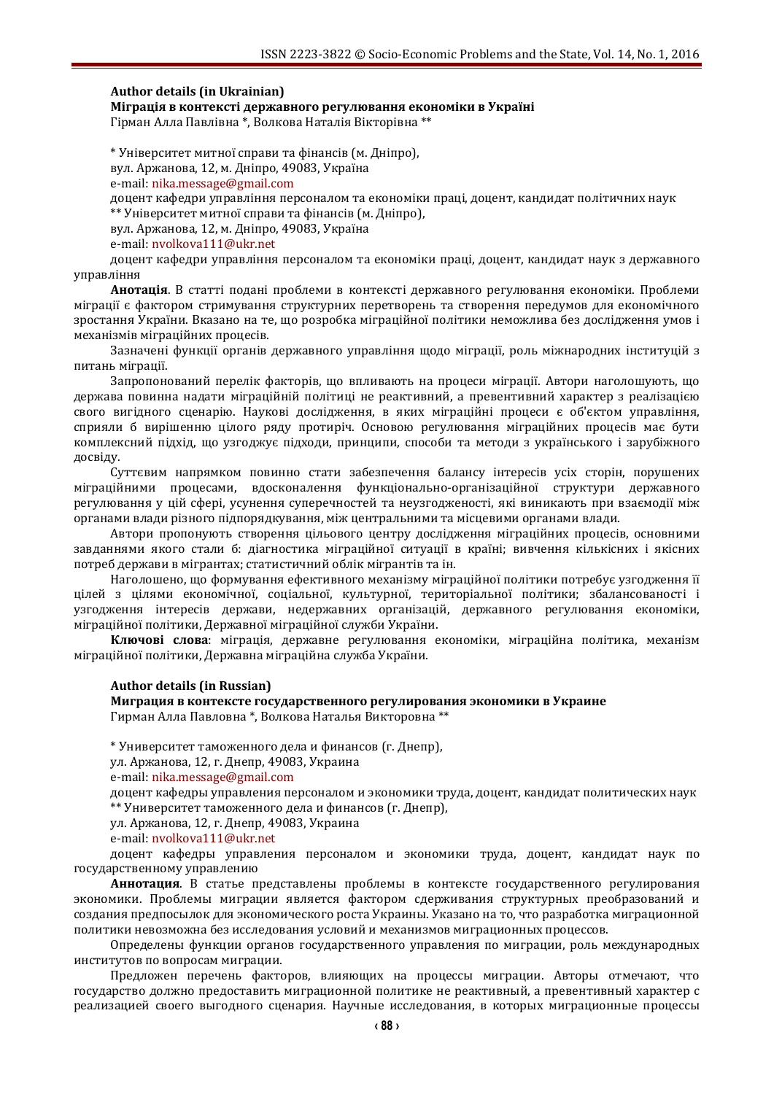#### **Author details (in Ukrainian)**

**Міграція в контексті державного регулювання економіки в Україні**

Гірман Алла Павлівна \*, Волкова Наталія Вікторівна \*\*

\* Університет митної справи та фінансів (м. Дніпро), вул. Аржанова, 12, м. Дніпро, 49083, Україна e-mail: [nika.message@gmail.com](mailto:nika.message@gmail.com) доцент кафедри управління персоналом та економіки праці, доцент, кандидат політичних наук \*\* Університет митної справи та фінансів (м. Дніпро), вул. Аржанова, 12, м. Дніпро, 49083, Україна

e-mail: [nvolkova111@ukr.net](mailto:nvolkova111@ukr.net)

доцент кафедри управління персоналом та економіки праці, доцент, кандидат наук з державного управління

**Анотація**. В статті подані проблеми в контексті державного регулювання економіки. Проблеми міграції є фактором стримування структурних перетворень та створення передумов для економічного зростання України. Вказано на те, що розробка міграційної політики неможлива без дослідження умов і механізмів міграційних процесів.

Зазначені функції органів державного управління щодо міграції, роль міжнародних інституцій з питань міграції.

Запропонований перелік факторів, що впливають на процеси міграції. Автори наголошують, що держава повинна надати міграційній політиці не реактивний, а превентивний характер з реалізацією свого вигідного сценарію. Наукові дослідження, в яких міграційні процеси є об'єктом управління, сприяли б вирішенню цілого ряду протиріч. Основою регулювання міграційних процесів має бути комплексний підхід, що узгоджує підходи, принципи, способи та методи з українського і зарубіжного досвіду.

Суттєвим напрямком повинно стати забезпечення балансу інтересів усіх сторін, порушених міграційними процесами, вдосконалення функціонально-організаційної структури державного регулювання у цій сфері, усунення суперечностей та неузгодженості, які виникають при взаємодії між органами влади різного підпорядкування, між центральними та місцевими органами влади.

Автори пропонують створення цільового центру дослідження міграційних процесів, основними завданнями якого стали б: діагностика міграційної ситуації в країні; вивчення кількісних і якісних потреб держави в мігрантах; статистичний облік мігрантів та ін.

Наголошено, що формування ефективного механізму міграційної політики потребує узгодження її цілей з цілями економічної, соціальної, культурної, територіальної політики; збалансованості і узгодження інтересів держави, недержавних організацій, державного регулювання економіки, міграційної політики, Державної міграційної служби України.

**Ключові слова**: міграція, державне регулювання економіки, міграційна політика, механізм міграційної політики, Державна міграційна служба України.

#### **Author details (in Russian)**

**Миграция в контексте государственного регулирования экономики в Украине** Гирман Алла Павловна \*, Волкова Наталья Викторовна \*\*

\* Университет таможенного дела и финансов (г. Днепр),

ул. Аржанова, 12, г. Днепр, 49083, Украина

e-mail: [nika.message@gmail.com](mailto:nika.message@gmail.com)

доцент кафедры управления персоналом и экономики труда, доцент, кандидат политических наук \*\* Университет таможенного дела и финансов (г. Днепр),

ул. Аржанова, 12, г. Днепр, 49083, Украина

e-mail: [nvolkova111@ukr.net](mailto:nvolkova111@ukr.net)

доцент кафедры управления персоналом и экономики труда, доцент, кандидат наук по государственному управлению

**Аннотация**. В статье представлены проблемы в контексте государственного регулирования экономики. Проблемы миграции является фактором сдерживания структурных преобразований и создания предпосылок для экономического роста Украины. Указано на то, что разработка миграционной политики невозможна без исследования условий и механизмов миграционных процессов.

Определены функции органов государственного управления по миграции, роль международных институтов по вопросам миграции.

Предложен перечень факторов, влияющих на процессы миграции. Авторы отмечают, что государство должно предоставить миграционной политике не реактивный, а превентивный характер с реализацией своего выгодного сценария. Научные исследования, в которых миграционные процессы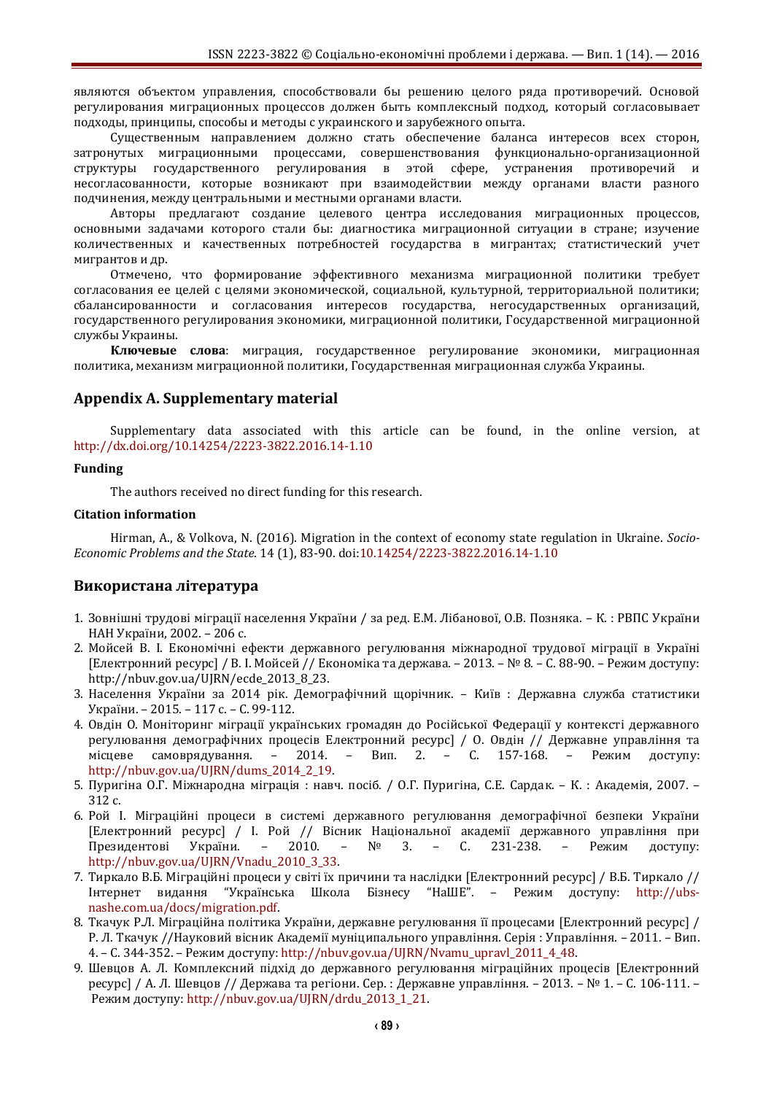являются объектом управления, способствовали бы решению целого ряда противоречий. Основой регулирования миграционных процессов должен быть комплексный подход, который согласовывает подходы, принципы, способы и методы с украинского и зарубежного опыта.

Существенным направлением должно стать обеспечение баланса интересов всех сторон, затронутых миграционными процессами, совершенствования функционально-организационной структуры государственного регулирования в этой сфере, устранения противоречий и несогласованности, которые возникают при взаимодействии между органами власти разного подчинения, между центральными и местными органами власти.

Авторы предлагают создание целевого центра исследования миграционных процессов, основными задачами которого стали бы: диагностика миграционной ситуации в стране; изучение количественных и качественных потребностей государства в мигрантах; статистический учет мигрантов и др.

Отмечено, что формирование эффективного механизма миграционной политики требует согласования ее целей с целями экономической, социальной, культурной, территориальной политики; сбалансированности и согласования интересов государства, негосударственных организаций, государственного регулирования экономики, миграционной политики, Государственной миграционной службы Украины.

**Ключевые слова**: миграция, государственное регулирование экономики, миграционная политика, механизм миграционной политики, Государственная миграционная служба Украины.

### **Appendix A. Supplementary material**

Supplementary data associated with this article can be found, in the online version, at <http://dx.doi.org/10.14254/2223-3822.2016.14-1.10>

### **Funding**

The authors received no direct funding for this research.

#### **Citation information**

Hirman, A., & Volkova, N. (2016). Migration in the context of economy state regulation in Ukraine. *Socio-Economic Problems and the State*. 14 (1), 83-90. [doi:10.14254/2223-3822.2016.14-1.10](http://dx.doi.org/10.14254/2223-3822.2016.14-1.10)

### **Використана література**

- 1. Зовнішні трудові міграції населення України / за ред. Е.М. Лібанової, О.В. Позняка. К. : РВПС України НАН України, 2002. – 206 с.
- 2. Мойсей В. І. Економічні ефекти державного регулювання міжнародної трудової міграції в Україні [Електронний ресурс] / В. І. Мойсей // Економіка та держава. – 2013. – № 8. – С. 88-90. – Режим доступу: http://nbuv.gov.ua/UJRN/ecde\_2013\_8\_23.
- 3. Населення України за 2014 рік. Демографічний щорічник. Київ : Державна служба статистики України. – 2015. – 117 с. – С. 99-112.
- 4. Овдін О. Моніторинг міграції українських громадян до Російської Федерації у контексті державного регулювання демографічних процесів Електронний ресурс] / О. Овдін // Державне управління та місцеве самоврядування. – 2014. – Вип. 2. – С. 157-168. – Режим доступу: [http://nbuv.gov.ua/UJRN/dums\\_2014\\_2\\_19.](http://nbuv.gov.ua/UJRN/dums_2014_2_19)
- 5. Пуригіна О.Г. Міжнародна міграція : навч. посіб. / О.Г. Пуригіна, С.Е. Сардак. К. : Академія, 2007. 312 с.
- 6. Рой І. Міграційні процеси в системі державного регулювання демографічної безпеки України [Електронний ресурс] / І. Рой // Вісник Національної академії державного управління при Президентові України. – 2010. – № 3. – С. 231-238. – Режим доступу: [http://nbuv.gov.ua/UJRN/Vnadu\\_2010\\_3\\_33.](http://nbuv.gov.ua/UJRN/Vnadu_2010_3_33)
- 7. Тиркало В.Б. Міграційні процеси у світі їх причини та наслідки [Електронний ресурс] / В.Б. Тиркало // Інтернет видання "Українська Школа Бізнесу "НаШЕ". – [Режим доступу:](Режим%20доступу:%20http:/ubs-nashe.com.ua/docs/migration.pdf) http://ubs[nashe.com.ua/docs/migration.pdf.](Режим%20доступу:%20http:/ubs-nashe.com.ua/docs/migration.pdf)
- 8. Ткачук Р.Л. Міграційна політика України, державне регулювання її процесами [Електронний ресурс] / Р. Л. Ткачук //Науковий вісник Академії муніципального управління. Серія : Управління. – 2011. – Вип. 4. – С. 344-352. – Режим доступу: [http://nbuv.gov.ua/UJRN/Nvamu\\_upravl\\_2011\\_4\\_48.](Режим%20доступу:%20http:/nbuv.gov.ua/UJRN/Nvamu_upravl_2011_4_48)
- 9. Шевцов А. Л. Комплексний підхід до державного регулювання міграційних процесів [Електронний ресурс] / А. Л. Шевцов // Держава та регіони. Сер. : Державне управління. – 2013. – № 1. – С. 106-111. – Режим доступу: [http://nbuv.gov.ua/UJRN/drdu\\_2013\\_1\\_21.](http://nbuv.gov.ua/UJRN/drdu_2013_1_21)